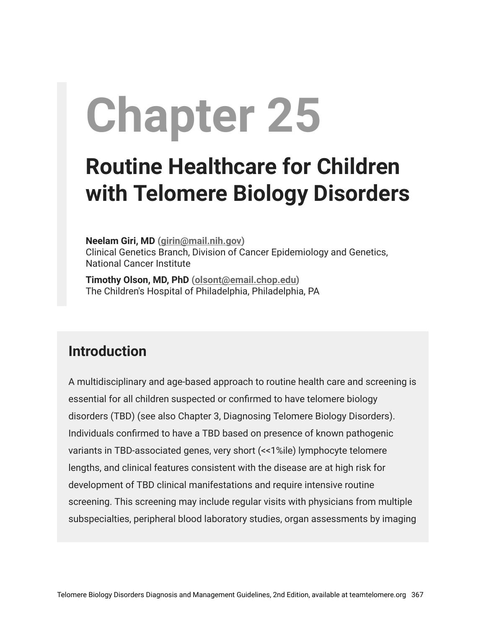# **Chapter 25**

## **Routine Healthcare for Children with Telomere Biology Disorders**

**Neelam Giri, MD [\(girin@mail.nih.gov](mailto:girin@mail.nih.gov))** Clinical Genetics Branch, Division of Cancer Epidemiology and Genetics, National Cancer Institute

**Timothy Olson, MD, PhD [\(olsont@email.chop.edu\)](mailto:olsont@email.chop.edu)** The Children's Hospital of Philadelphia, Philadelphia, PA

## **Introduction**

A multidisciplinary and age-based approach to routine health care and screening is essential for all children suspected or confirmed to have telomere biology disorders (TBD) (see also Chapter 3, Diagnosing Telomere Biology Disorders). Individuals confirmed to have a TBD based on presence of known pathogenic variants in TBD-associated genes, very short (<<1%ile) lymphocyte telomere lengths, and clinical features consistent with the disease are at high risk for development of TBD clinical manifestations and require intensive routine screening. This screening may include regular visits with physicians from multiple subspecialties, peripheral blood laboratory studies, organ assessments by imaging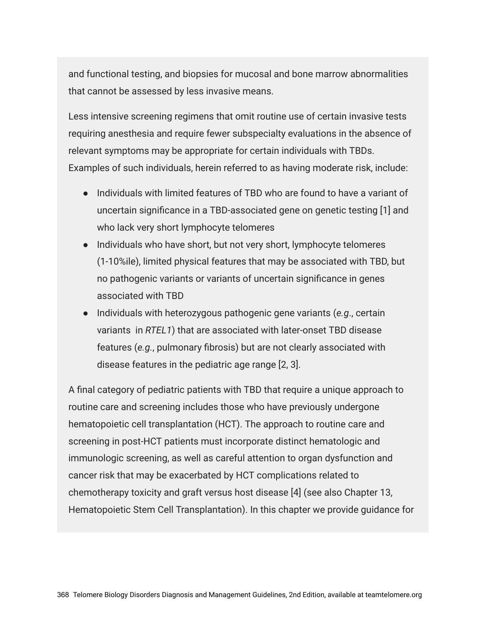and functional testing, and biopsies for mucosal and bone marrow abnormalities that cannot be assessed by less invasive means.

Less intensive screening regimens that omit routine use of certain invasive tests requiring anesthesia and require fewer subspecialty evaluations in the absence of relevant symptoms may be appropriate for certain individuals with TBDs. Examples of such individuals, herein referred to as having moderate risk, include:

- Individuals with limited features of TBD who are found to have a variant of uncertain significance in a TBD-associated gene on genetic testing [1] and who lack very short lymphocyte telomeres
- Individuals who have short, but not very short, lymphocyte telomeres (1-10%ile), limited physical features that may be associated with TBD, but no pathogenic variants or variants of uncertain significance in genes associated with TBD
- Individuals with heterozygous pathogenic gene variants (*e.g*., certain variants in *RTEL1*) that are associated with later-onset TBD disease features (*e.g.*, pulmonary fibrosis) but are not clearly associated with disease features in the pediatric age range [2, 3].

A final category of pediatric patients with TBD that require a unique approach to routine care and screening includes those who have previously undergone hematopoietic cell transplantation (HCT). The approach to routine care and screening in post-HCT patients must incorporate distinct hematologic and immunologic screening, as well as careful attention to organ dysfunction and cancer risk that may be exacerbated by HCT complications related to chemotherapy toxicity and graft versus host disease [4] (see also Chapter 13, Hematopoietic Stem Cell Transplantation). In this chapter we provide guidance for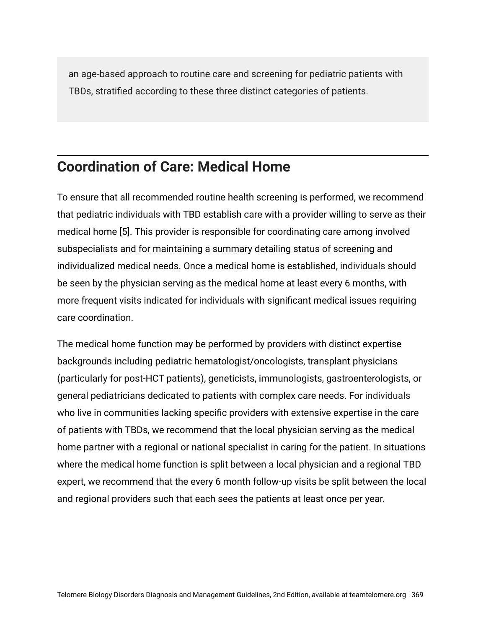an age-based approach to routine care and screening for pediatric patients with TBDs, stratified according to these three distinct categories of patients.

## **Coordination of Care: Medical Home**

To ensure that all recommended routine health screening is performed, we recommend that pediatric individuals with TBD establish care with a provider willing to serve as their medical home [5]. This provider is responsible for coordinating care among involved subspecialists and for maintaining a summary detailing status of screening and individualized medical needs. Once a medical home is established, individuals should be seen by the physician serving as the medical home at least every 6 months, with more frequent visits indicated for individuals with significant medical issues requiring care coordination.

The medical home function may be performed by providers with distinct expertise backgrounds including pediatric hematologist/oncologists, transplant physicians (particularly for post-HCT patients), geneticists, immunologists, gastroenterologists, or general pediatricians dedicated to patients with complex care needs. For individuals who live in communities lacking specific providers with extensive expertise in the care of patients with TBDs, we recommend that the local physician serving as the medical home partner with a regional or national specialist in caring for the patient. In situations where the medical home function is split between a local physician and a regional TBD expert, we recommend that the every 6 month follow-up visits be split between the local and regional providers such that each sees the patients at least once per year.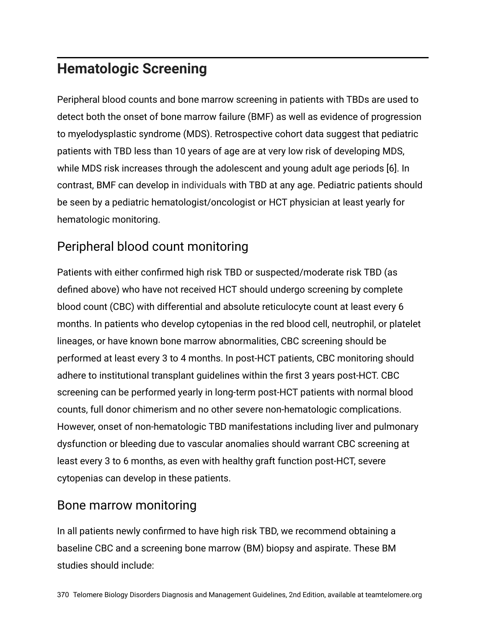## **Hematologic Screening**

Peripheral blood counts and bone marrow screening in patients with TBDs are used to detect both the onset of bone marrow failure (BMF) as well as evidence of progression to myelodysplastic syndrome (MDS). Retrospective cohort data suggest that pediatric patients with TBD less than 10 years of age are at very low risk of developing MDS, while MDS risk increases through the adolescent and young adult age periods [6]. In contrast, BMF can develop in individuals with TBD at any age. Pediatric patients should be seen by a pediatric hematologist/oncologist or HCT physician at least yearly for hematologic monitoring.

## Peripheral blood count monitoring

Patients with either confirmed high risk TBD or suspected/moderate risk TBD (as defined above) who have not received HCT should undergo screening by complete blood count (CBC) with differential and absolute reticulocyte count at least every 6 months. In patients who develop cytopenias in the red blood cell, neutrophil, or platelet lineages, or have known bone marrow abnormalities, CBC screening should be performed at least every 3 to 4 months. In post-HCT patients, CBC monitoring should adhere to institutional transplant guidelines within the first 3 years post-HCT. CBC screening can be performed yearly in long-term post-HCT patients with normal blood counts, full donor chimerism and no other severe non-hematologic complications. However, onset of non-hematologic TBD manifestations including liver and pulmonary dysfunction or bleeding due to vascular anomalies should warrant CBC screening at least every 3 to 6 months, as even with healthy graft function post-HCT, severe cytopenias can develop in these patients.

#### Bone marrow monitoring

In all patients newly confirmed to have high risk TBD, we recommend obtaining a baseline CBC and a screening bone marrow (BM) biopsy and aspirate. These BM studies should include: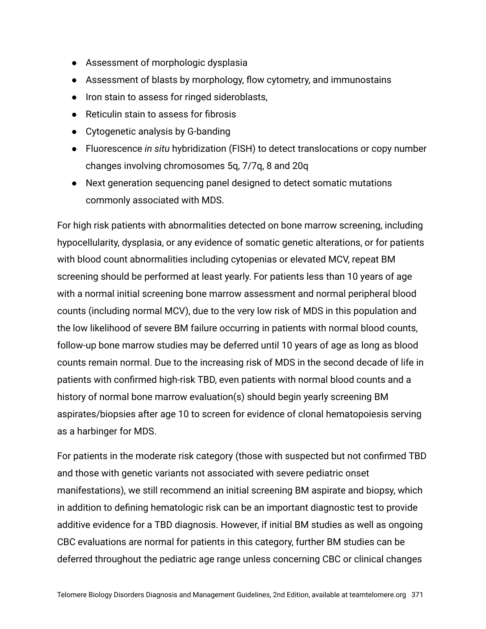- Assessment of morphologic dysplasia
- Assessment of blasts by morphology, flow cytometry, and immunostains
- Iron stain to assess for ringed sideroblasts,
- Reticulin stain to assess for fibrosis
- Cytogenetic analysis by G-banding
- Fluorescence *in situ* hybridization (FISH) to detect translocations or copy number changes involving chromosomes 5q, 7/7q, 8 and 20q
- Next generation sequencing panel designed to detect somatic mutations commonly associated with MDS.

For high risk patients with abnormalities detected on bone marrow screening, including hypocellularity, dysplasia, or any evidence of somatic genetic alterations, or for patients with blood count abnormalities including cytopenias or elevated MCV, repeat BM screening should be performed at least yearly. For patients less than 10 years of age with a normal initial screening bone marrow assessment and normal peripheral blood counts (including normal MCV), due to the very low risk of MDS in this population and the low likelihood of severe BM failure occurring in patients with normal blood counts, follow-up bone marrow studies may be deferred until 10 years of age as long as blood counts remain normal. Due to the increasing risk of MDS in the second decade of life in patients with confirmed high-risk TBD, even patients with normal blood counts and a history of normal bone marrow evaluation(s) should begin yearly screening BM aspirates/biopsies after age 10 to screen for evidence of clonal hematopoiesis serving as a harbinger for MDS.

For patients in the moderate risk category (those with suspected but not confirmed TBD and those with genetic variants not associated with severe pediatric onset manifestations), we still recommend an initial screening BM aspirate and biopsy, which in addition to defining hematologic risk can be an important diagnostic test to provide additive evidence for a TBD diagnosis. However, if initial BM studies as well as ongoing CBC evaluations are normal for patients in this category, further BM studies can be deferred throughout the pediatric age range unless concerning CBC or clinical changes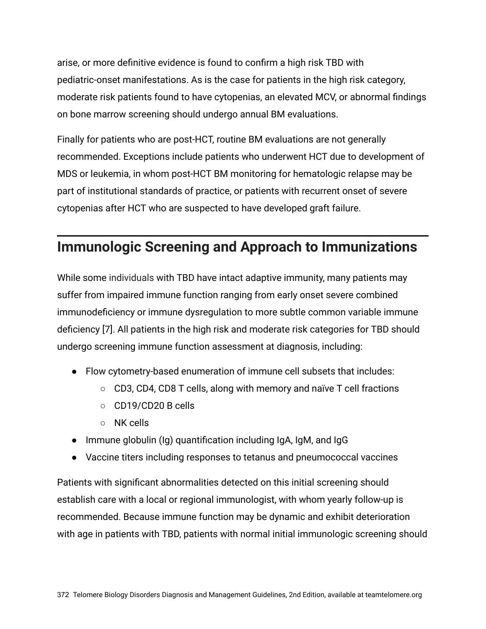arise, or more definitive evidence is found to confirm a high risk TBD with pediatric-onset manifestations. As is the case for patients in the high risk category, moderate risk patients found to have cytopenias, an elevated MCV, or abnormal findings on bone marrow screening should undergo annual BM evaluations.

Finally for patients who are post-HCT, routine BM evaluations are not generally recommended. Exceptions include patients who underwent HCT due to development of MDS or leukemia, in whom post-HCT BM monitoring for hematologic relapse may be part of institutional standards of practice, or patients with recurrent onset of severe cytopenias after HCT who are suspected to have developed graft failure.

## **Immunologic Screening and Approach to Immunizations**

While some individuals with TBD have intact adaptive immunity, many patients may suffer from impaired immune function ranging from early onset severe combined immunodeficiency or immune dysregulation to more subtle common variable immune deficiency [7]. All patients in the high risk and moderate risk categories for TBD should undergo screening immune function assessment at diagnosis, including:

- Flow cytometry-based enumeration of immune cell subsets that includes:
	- CD3, CD4, CD8 T cells, along with memory and naïve T cell fractions
	- CD19/CD20 B cells
	- NK cells
- Immune globulin (Ig) quantification including IgA, IgM, and IgG
- Vaccine titers including responses to tetanus and pneumococcal vaccines

Patients with significant abnormalities detected on this initial screening should establish care with a local or regional immunologist, with whom yearly follow-up is recommended. Because immune function may be dynamic and exhibit deterioration with age in patients with TBD, patients with normal initial immunologic screening should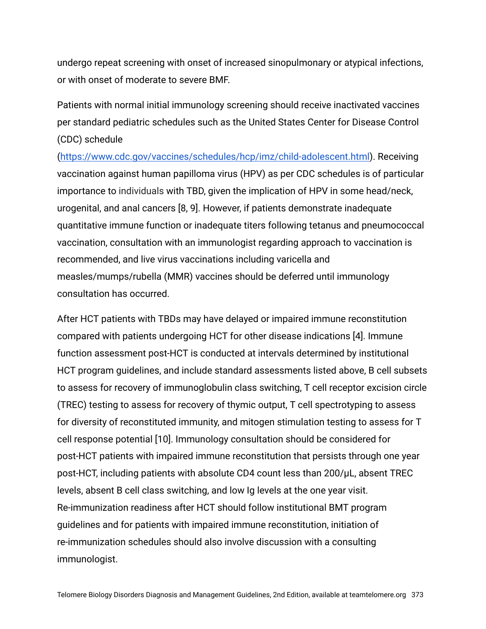undergo repeat screening with onset of increased sinopulmonary or atypical infections, or with onset of moderate to severe BMF.

Patients with normal initial immunology screening should receive inactivated vaccines per standard pediatric schedules such as the United States Center for Disease Control (CDC) schedule

[\(https://www.cdc.gov/vaccines/schedules/hcp/imz/child-adolescent.html\)](https://www.cdc.gov/vaccines/schedules/hcp/imz/child-adolescent.html). Receiving vaccination against human papilloma virus (HPV) as per CDC schedules is of particular importance to individuals with TBD, given the implication of HPV in some head/neck, urogenital, and anal cancers [8, 9]. However, if patients demonstrate inadequate quantitative immune function or inadequate titers following tetanus and pneumococcal vaccination, consultation with an immunologist regarding approach to vaccination is recommended, and live virus vaccinations including varicella and measles/mumps/rubella (MMR) vaccines should be deferred until immunology consultation has occurred.

After HCT patients with TBDs may have delayed or impaired immune reconstitution compared with patients undergoing HCT for other disease indications [4]. Immune function assessment post-HCT is conducted at intervals determined by institutional HCT program guidelines, and include standard assessments listed above, B cell subsets to assess for recovery of immunoglobulin class switching, T cell receptor excision circle (TREC) testing to assess for recovery of thymic output, T cell spectrotyping to assess for diversity of reconstituted immunity, and mitogen stimulation testing to assess for T cell response potential [10]. Immunology consultation should be considered for post-HCT patients with impaired immune reconstitution that persists through one year post-HCT, including patients with absolute CD4 count less than 200/μL, absent TREC levels, absent B cell class switching, and low Ig levels at the one year visit. Re-immunization readiness after HCT should follow institutional BMT program guidelines and for patients with impaired immune reconstitution, initiation of re-immunization schedules should also involve discussion with a consulting immunologist.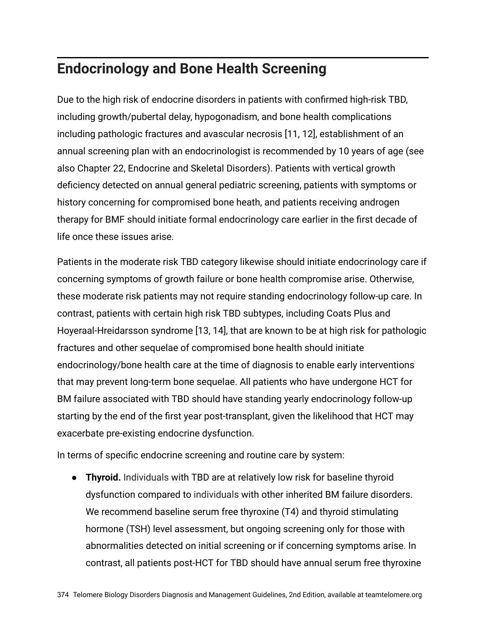## **Endocrinology and Bone Health Screening**

Due to the high risk of endocrine disorders in patients with confirmed high-risk TBD, including growth/pubertal delay, hypogonadism, and bone health complications including pathologic fractures and avascular necrosis [11, 12], establishment of an annual screening plan with an endocrinologist is recommended by 10 years of age (see also Chapter 22, Endocrine and Skeletal Disorders). Patients with vertical growth deficiency detected on annual general pediatric screening, patients with symptoms or history concerning for compromised bone heath, and patients receiving androgen therapy for BMF should initiate formal endocrinology care earlier in the first decade of life once these issues arise.

Patients in the moderate risk TBD category likewise should initiate endocrinology care if concerning symptoms of growth failure or bone health compromise arise. Otherwise, these moderate risk patients may not require standing endocrinology follow-up care. In contrast, patients with certain high risk TBD subtypes, including Coats Plus and Hoyeraal-Hreidarsson syndrome [13, 14], that are known to be at high risk for pathologic fractures and other sequelae of compromised bone health should initiate endocrinology/bone health care at the time of diagnosis to enable early interventions that may prevent long-term bone sequelae. All patients who have undergone HCT for BM failure associated with TBD should have standing yearly endocrinology follow-up starting by the end of the first year post-transplant, given the likelihood that HCT may exacerbate pre-existing endocrine dysfunction.

In terms of specific endocrine screening and routine care by system:

● **Thyroid.** Individuals with TBD are at relatively low risk for baseline thyroid dysfunction compared to individuals with other inherited BM failure disorders. We recommend baseline serum free thyroxine (T4) and thyroid stimulating hormone (TSH) level assessment, but ongoing screening only for those with abnormalities detected on initial screening or if concerning symptoms arise. In contrast, all patients post-HCT for TBD should have annual serum free thyroxine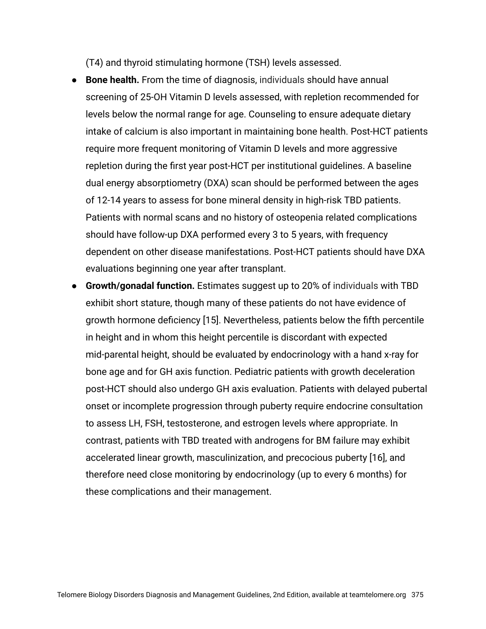(T4) and thyroid stimulating hormone (TSH) levels assessed.

- **Bone health.** From the time of diagnosis, individuals should have annual screening of 25-OH Vitamin D levels assessed, with repletion recommended for levels below the normal range for age. Counseling to ensure adequate dietary intake of calcium is also important in maintaining bone health. Post-HCT patients require more frequent monitoring of Vitamin D levels and more aggressive repletion during the first year post-HCT per institutional guidelines. A baseline dual energy absorptiometry (DXA) scan should be performed between the ages of 12-14 years to assess for bone mineral density in high-risk TBD patients. Patients with normal scans and no history of osteopenia related complications should have follow-up DXA performed every 3 to 5 years, with frequency dependent on other disease manifestations. Post-HCT patients should have DXA evaluations beginning one year after transplant.
- **Growth/gonadal function.** Estimates suggest up to 20% of individuals with TBD exhibit short stature, though many of these patients do not have evidence of growth hormone deficiency [15]. Nevertheless, patients below the fifth percentile in height and in whom this height percentile is discordant with expected mid-parental height, should be evaluated by endocrinology with a hand x-ray for bone age and for GH axis function. Pediatric patients with growth deceleration post-HCT should also undergo GH axis evaluation. Patients with delayed pubertal onset or incomplete progression through puberty require endocrine consultation to assess LH, FSH, testosterone, and estrogen levels where appropriate. In contrast, patients with TBD treated with androgens for BM failure may exhibit accelerated linear growth, masculinization, and precocious puberty [16], and therefore need close monitoring by endocrinology (up to every 6 months) for these complications and their management.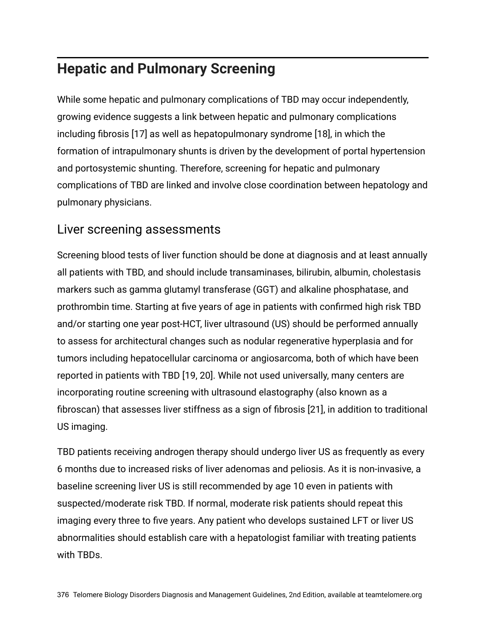## **Hepatic and Pulmonary Screening**

While some hepatic and pulmonary complications of TBD may occur independently, growing evidence suggests a link between hepatic and pulmonary complications including fibrosis [17] as well as hepatopulmonary syndrome [18], in which the formation of intrapulmonary shunts is driven by the development of portal hypertension and portosystemic shunting. Therefore, screening for hepatic and pulmonary complications of TBD are linked and involve close coordination between hepatology and pulmonary physicians.

#### Liver screening assessments

Screening blood tests of liver function should be done at diagnosis and at least annually all patients with TBD, and should include transaminases, bilirubin, albumin, cholestasis markers such as gamma glutamyl transferase (GGT) and alkaline phosphatase, and prothrombin time. Starting at five years of age in patients with confirmed high risk TBD and/or starting one year post-HCT, liver ultrasound (US) should be performed annually to assess for architectural changes such as nodular regenerative hyperplasia and for tumors including hepatocellular carcinoma or angiosarcoma, both of which have been reported in patients with TBD [19, 20]. While not used universally, many centers are incorporating routine screening with ultrasound elastography (also known as a fibroscan) that assesses liver stiffness as a sign of fibrosis [21], in addition to traditional US imaging.

TBD patients receiving androgen therapy should undergo liver US as frequently as every 6 months due to increased risks of liver adenomas and peliosis. As it is non-invasive, a baseline screening liver US is still recommended by age 10 even in patients with suspected/moderate risk TBD. If normal, moderate risk patients should repeat this imaging every three to five years. Any patient who develops sustained LFT or liver US abnormalities should establish care with a hepatologist familiar with treating patients with TBDs.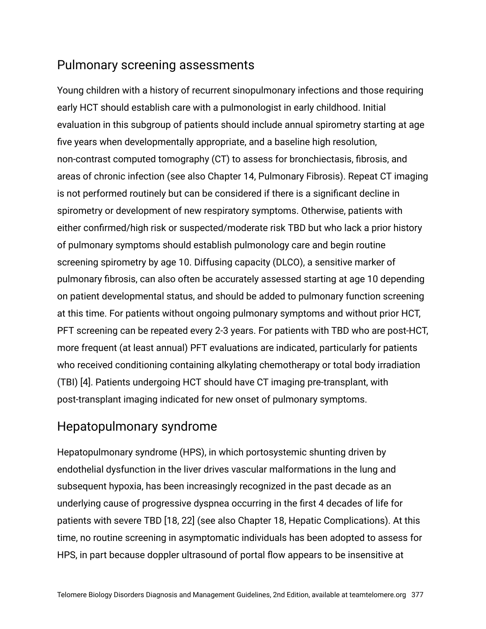#### Pulmonary screening assessments

Young children with a history of recurrent sinopulmonary infections and those requiring early HCT should establish care with a pulmonologist in early childhood. Initial evaluation in this subgroup of patients should include annual spirometry starting at age five years when developmentally appropriate, and a baseline high resolution, non-contrast computed tomography (CT) to assess for bronchiectasis, fibrosis, and areas of chronic infection (see also Chapter 14, Pulmonary Fibrosis). Repeat CT imaging is not performed routinely but can be considered if there is a significant decline in spirometry or development of new respiratory symptoms. Otherwise, patients with either confirmed/high risk or suspected/moderate risk TBD but who lack a prior history of pulmonary symptoms should establish pulmonology care and begin routine screening spirometry by age 10. Diffusing capacity (DLCO), a sensitive marker of pulmonary fibrosis, can also often be accurately assessed starting at age 10 depending on patient developmental status, and should be added to pulmonary function screening at this time. For patients without ongoing pulmonary symptoms and without prior HCT, PFT screening can be repeated every 2-3 years. For patients with TBD who are post-HCT, more frequent (at least annual) PFT evaluations are indicated, particularly for patients who received conditioning containing alkylating chemotherapy or total body irradiation (TBI) [4]. Patients undergoing HCT should have CT imaging pre-transplant, with post-transplant imaging indicated for new onset of pulmonary symptoms.

#### Hepatopulmonary syndrome

Hepatopulmonary syndrome (HPS), in which portosystemic shunting driven by endothelial dysfunction in the liver drives vascular malformations in the lung and subsequent hypoxia, has been increasingly recognized in the past decade as an underlying cause of progressive dyspnea occurring in the first 4 decades of life for patients with severe TBD [18, 22] (see also Chapter 18, Hepatic Complications). At this time, no routine screening in asymptomatic individuals has been adopted to assess for HPS, in part because doppler ultrasound of portal flow appears to be insensitive at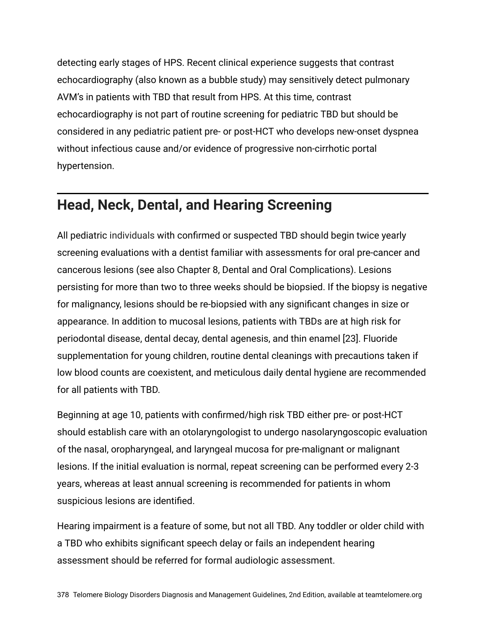detecting early stages of HPS. Recent clinical experience suggests that contrast echocardiography (also known as a bubble study) may sensitively detect pulmonary AVM's in patients with TBD that result from HPS. At this time, contrast echocardiography is not part of routine screening for pediatric TBD but should be considered in any pediatric patient pre- or post-HCT who develops new-onset dyspnea without infectious cause and/or evidence of progressive non-cirrhotic portal hypertension.

## **Head, Neck, Dental, and Hearing Screening**

All pediatric individuals with confirmed or suspected TBD should begin twice yearly screening evaluations with a dentist familiar with assessments for oral pre-cancer and cancerous lesions (see also Chapter 8, Dental and Oral Complications). Lesions persisting for more than two to three weeks should be biopsied. If the biopsy is negative for malignancy, lesions should be re-biopsied with any significant changes in size or appearance. In addition to mucosal lesions, patients with TBDs are at high risk for periodontal disease, dental decay, dental agenesis, and thin enamel [23]. Fluoride supplementation for young children, routine dental cleanings with precautions taken if low blood counts are coexistent, and meticulous daily dental hygiene are recommended for all patients with TBD.

Beginning at age 10, patients with confirmed/high risk TBD either pre- or post-HCT should establish care with an otolaryngologist to undergo nasolaryngoscopic evaluation of the nasal, oropharyngeal, and laryngeal mucosa for pre-malignant or malignant lesions. If the initial evaluation is normal, repeat screening can be performed every 2-3 years, whereas at least annual screening is recommended for patients in whom suspicious lesions are identified.

Hearing impairment is a feature of some, but not all TBD. Any toddler or older child with a TBD who exhibits significant speech delay or fails an independent hearing assessment should be referred for formal audiologic assessment.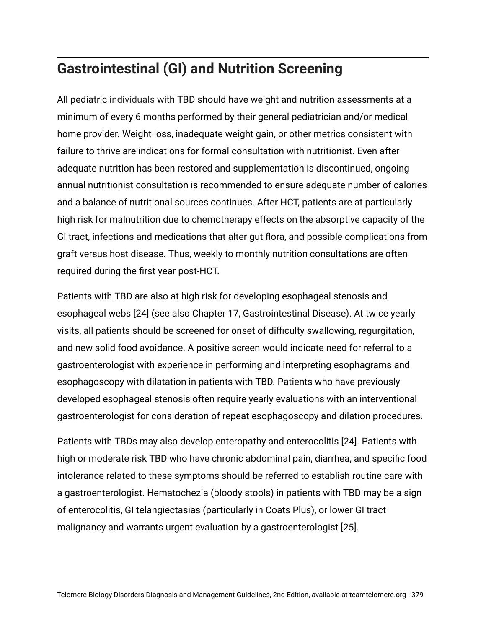## **Gastrointestinal (GI) and Nutrition Screening**

All pediatric individuals with TBD should have weight and nutrition assessments at a minimum of every 6 months performed by their general pediatrician and/or medical home provider. Weight loss, inadequate weight gain, or other metrics consistent with failure to thrive are indications for formal consultation with nutritionist. Even after adequate nutrition has been restored and supplementation is discontinued, ongoing annual nutritionist consultation is recommended to ensure adequate number of calories and a balance of nutritional sources continues. After HCT, patients are at particularly high risk for malnutrition due to chemotherapy effects on the absorptive capacity of the GI tract, infections and medications that alter gut flora, and possible complications from graft versus host disease. Thus, weekly to monthly nutrition consultations are often required during the first year post-HCT.

Patients with TBD are also at high risk for developing esophageal stenosis and esophageal webs [24] (see also Chapter 17, Gastrointestinal Disease). At twice yearly visits, all patients should be screened for onset of difficulty swallowing, regurgitation, and new solid food avoidance. A positive screen would indicate need for referral to a gastroenterologist with experience in performing and interpreting esophagrams and esophagoscopy with dilatation in patients with TBD. Patients who have previously developed esophageal stenosis often require yearly evaluations with an interventional gastroenterologist for consideration of repeat esophagoscopy and dilation procedures.

Patients with TBDs may also develop enteropathy and enterocolitis [24]. Patients with high or moderate risk TBD who have chronic abdominal pain, diarrhea, and specific food intolerance related to these symptoms should be referred to establish routine care with a gastroenterologist. Hematochezia (bloody stools) in patients with TBD may be a sign of enterocolitis, GI telangiectasias (particularly in Coats Plus), or lower GI tract malignancy and warrants urgent evaluation by a gastroenterologist [25].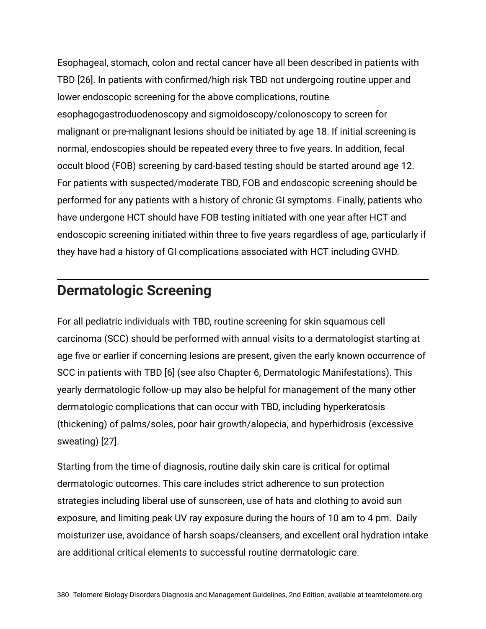Esophageal, stomach, colon and rectal cancer have all been described in patients with TBD [26]. In patients with confirmed/high risk TBD not undergoing routine upper and lower endoscopic screening for the above complications, routine esophagogastroduodenoscopy and sigmoidoscopy/colonoscopy to screen for malignant or pre-malignant lesions should be initiated by age 18. If initial screening is normal, endoscopies should be repeated every three to five years. In addition, fecal occult blood (FOB) screening by card-based testing should be started around age 12. For patients with suspected/moderate TBD, FOB and endoscopic screening should be performed for any patients with a history of chronic GI symptoms. Finally, patients who have undergone HCT should have FOB testing initiated with one year after HCT and endoscopic screening initiated within three to five years regardless of age, particularly if they have had a history of GI complications associated with HCT including GVHD.

## **Dermatologic Screening**

For all pediatric individuals with TBD, routine screening for skin squamous cell carcinoma (SCC) should be performed with annual visits to a dermatologist starting at age five or earlier if concerning lesions are present, given the early known occurrence of SCC in patients with TBD [6] (see also Chapter 6, Dermatologic Manifestations). This yearly dermatologic follow-up may also be helpful for management of the many other dermatologic complications that can occur with TBD, including hyperkeratosis (thickening) of palms/soles, poor hair growth/alopecia, and hyperhidrosis (excessive sweating) [27].

Starting from the time of diagnosis, routine daily skin care is critical for optimal dermatologic outcomes. This care includes strict adherence to sun protection strategies including liberal use of sunscreen, use of hats and clothing to avoid sun exposure, and limiting peak UV ray exposure during the hours of 10 am to 4 pm. Daily moisturizer use, avoidance of harsh soaps/cleansers, and excellent oral hydration intake are additional critical elements to successful routine dermatologic care.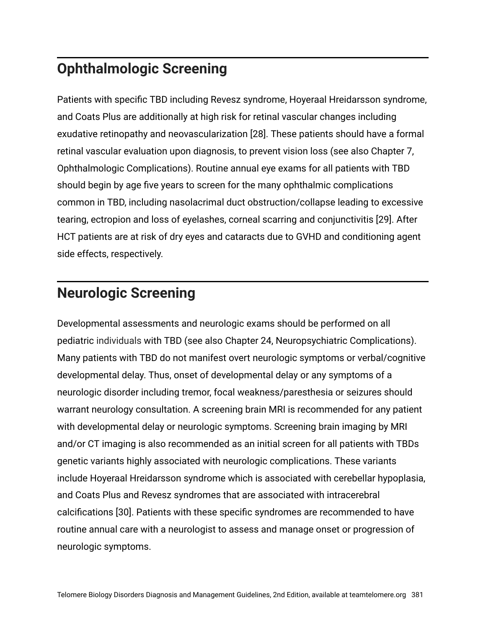## **Ophthalmologic Screening**

Patients with specific TBD including Revesz syndrome, Hoyeraal Hreidarsson syndrome, and Coats Plus are additionally at high risk for retinal vascular changes including exudative retinopathy and neovascularization [28]. These patients should have a formal retinal vascular evaluation upon diagnosis, to prevent vision loss (see also Chapter 7, Ophthalmologic Complications). Routine annual eye exams for all patients with TBD should begin by age five years to screen for the many ophthalmic complications common in TBD, including nasolacrimal duct obstruction/collapse leading to excessive tearing, ectropion and loss of eyelashes, corneal scarring and conjunctivitis [29]. After HCT patients are at risk of dry eyes and cataracts due to GVHD and conditioning agent side effects, respectively.

## **Neurologic Screening**

Developmental assessments and neurologic exams should be performed on all pediatric individuals with TBD (see also Chapter 24, Neuropsychiatric Complications). Many patients with TBD do not manifest overt neurologic symptoms or verbal/cognitive developmental delay. Thus, onset of developmental delay or any symptoms of a neurologic disorder including tremor, focal weakness/paresthesia or seizures should warrant neurology consultation. A screening brain MRI is recommended for any patient with developmental delay or neurologic symptoms. Screening brain imaging by MRI and/or CT imaging is also recommended as an initial screen for all patients with TBDs genetic variants highly associated with neurologic complications. These variants include Hoyeraal Hreidarsson syndrome which is associated with cerebellar hypoplasia, and Coats Plus and Revesz syndromes that are associated with intracerebral calcifications [30]. Patients with these specific syndromes are recommended to have routine annual care with a neurologist to assess and manage onset or progression of neurologic symptoms.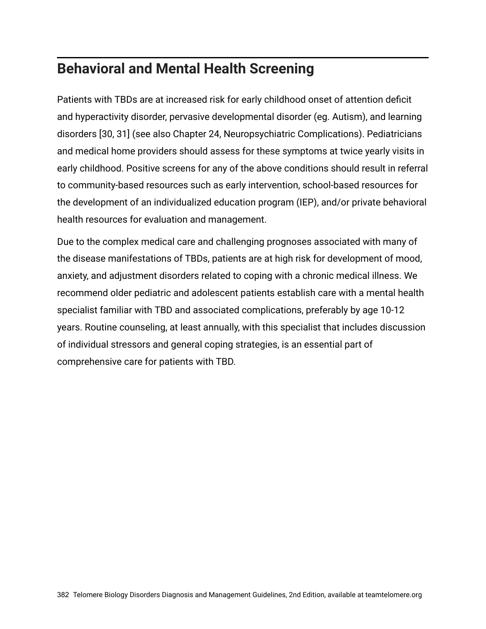## **Behavioral and Mental Health Screening**

Patients with TBDs are at increased risk for early childhood onset of attention deficit and hyperactivity disorder, pervasive developmental disorder (eg. Autism), and learning disorders [30, 31] (see also Chapter 24, Neuropsychiatric Complications). Pediatricians and medical home providers should assess for these symptoms at twice yearly visits in early childhood. Positive screens for any of the above conditions should result in referral to community-based resources such as early intervention, school-based resources for the development of an individualized education program (IEP), and/or private behavioral health resources for evaluation and management.

Due to the complex medical care and challenging prognoses associated with many of the disease manifestations of TBDs, patients are at high risk for development of mood, anxiety, and adjustment disorders related to coping with a chronic medical illness. We recommend older pediatric and adolescent patients establish care with a mental health specialist familiar with TBD and associated complications, preferably by age 10-12 years. Routine counseling, at least annually, with this specialist that includes discussion of individual stressors and general coping strategies, is an essential part of comprehensive care for patients with TBD.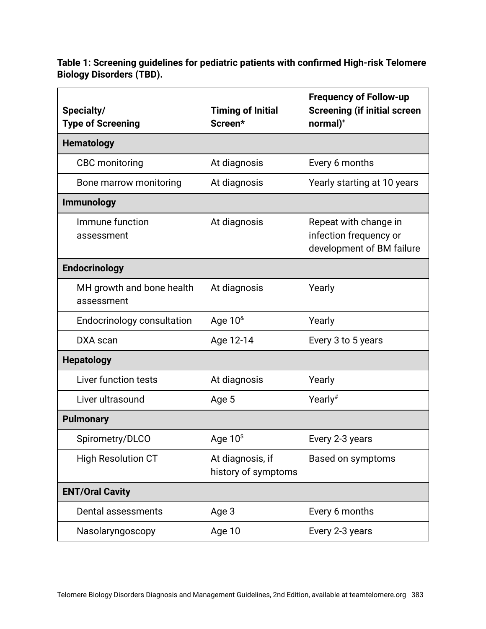**Table 1: Screening guidelines for pediatric patients with confirmed High-risk Telomere Biology Disorders (TBD).**

| Specialty/<br><b>Type of Screening</b>  | <b>Timing of Initial</b><br>Screen*     | <b>Frequency of Follow-up</b><br><b>Screening (if initial screen</b><br>normal) <sup>+</sup> |
|-----------------------------------------|-----------------------------------------|----------------------------------------------------------------------------------------------|
| <b>Hematology</b>                       |                                         |                                                                                              |
| <b>CBC</b> monitoring                   | At diagnosis                            | Every 6 months                                                                               |
| Bone marrow monitoring                  | At diagnosis                            | Yearly starting at 10 years                                                                  |
| <b>Immunology</b>                       |                                         |                                                                                              |
| Immune function<br>assessment           | At diagnosis                            | Repeat with change in<br>infection frequency or<br>development of BM failure                 |
| <b>Endocrinology</b>                    |                                         |                                                                                              |
| MH growth and bone health<br>assessment | At diagnosis                            | Yearly                                                                                       |
| <b>Endocrinology consultation</b>       | Age $10^8$                              | Yearly                                                                                       |
| DXA scan                                | Age 12-14                               | Every 3 to 5 years                                                                           |
| <b>Hepatology</b>                       |                                         |                                                                                              |
| Liver function tests                    | At diagnosis                            | Yearly                                                                                       |
| Liver ultrasound                        | Age 5                                   | Yearly <sup>#</sup>                                                                          |
| <b>Pulmonary</b>                        |                                         |                                                                                              |
| Spirometry/DLCO                         | Age $10^{\text{S}}$                     | Every 2-3 years                                                                              |
| <b>High Resolution CT</b>               | At diagnosis, if<br>history of symptoms | <b>Based on symptoms</b>                                                                     |
| <b>ENT/Oral Cavity</b>                  |                                         |                                                                                              |
| Dental assessments                      | Age 3                                   | Every 6 months                                                                               |
| Nasolaryngoscopy                        | Age 10                                  | Every 2-3 years                                                                              |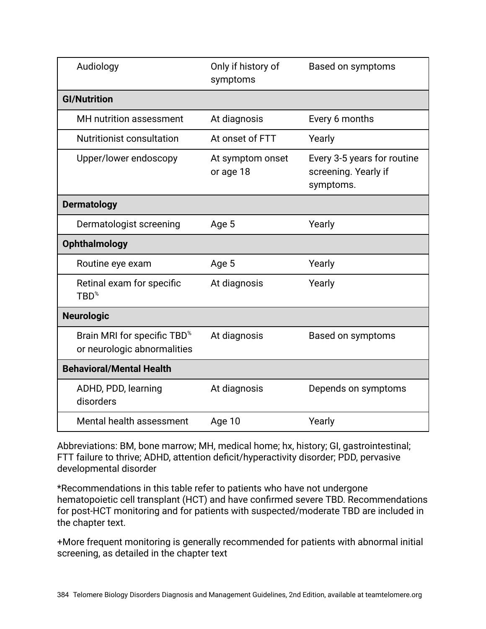| Audiology                                                              | Only if history of<br>symptoms | Based on symptoms                                                |
|------------------------------------------------------------------------|--------------------------------|------------------------------------------------------------------|
| <b>GI/Nutrition</b>                                                    |                                |                                                                  |
| <b>MH</b> nutrition assessment                                         | At diagnosis                   | Every 6 months                                                   |
| Nutritionist consultation                                              | At onset of FTT                | Yearly                                                           |
| Upper/lower endoscopy                                                  | At symptom onset<br>or age 18  | Every 3-5 years for routine<br>screening. Yearly if<br>symptoms. |
| <b>Dermatology</b>                                                     |                                |                                                                  |
| Dermatologist screening                                                | Age 5                          | Yearly                                                           |
| <b>Ophthalmology</b>                                                   |                                |                                                                  |
| Routine eye exam                                                       | Age 5                          | Yearly                                                           |
| Retinal exam for specific<br>$TBD^*$                                   | At diagnosis                   | Yearly                                                           |
| <b>Neurologic</b>                                                      |                                |                                                                  |
| Brain MRI for specific TBD <sup>%</sup><br>or neurologic abnormalities | At diagnosis                   | Based on symptoms                                                |
| <b>Behavioral/Mental Health</b>                                        |                                |                                                                  |
| ADHD, PDD, learning<br>disorders                                       | At diagnosis                   | Depends on symptoms                                              |
| Mental health assessment                                               | Age 10                         | Yearly                                                           |

Abbreviations: BM, bone marrow; MH, medical home; hx, history; GI, gastrointestinal; FTT failure to thrive; ADHD, attention deficit/hyperactivity disorder; PDD, pervasive developmental disorder

\*Recommendations in this table refer to patients who have not undergone hematopoietic cell transplant (HCT) and have confirmed severe TBD. Recommendations for post-HCT monitoring and for patients with suspected/moderate TBD are included in the chapter text.

+More frequent monitoring is generally recommended for patients with abnormal initial screening, as detailed in the chapter text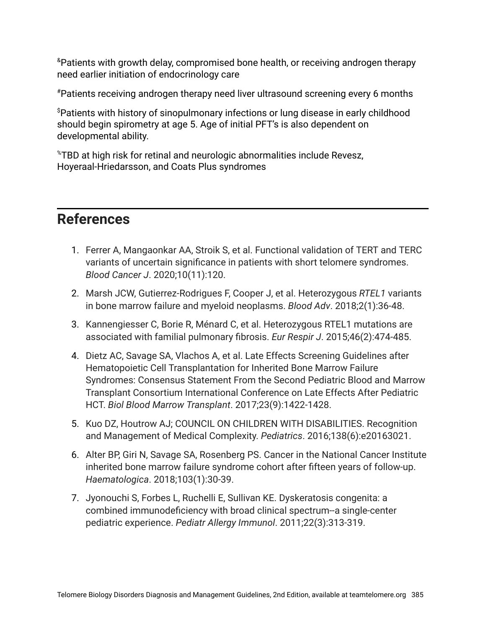&Patients with growth delay, compromised bone health, or receiving androgen therapy need earlier initiation of endocrinology care

#Patients receiving androgen therapy need liver ultrasound screening every 6 months

\$Patients with history of sinopulmonary infections or lung disease in early childhood should begin spirometry at age 5. Age of initial PFT's is also dependent on developmental ability.

%TBD at high risk for retinal and neurologic abnormalities include Revesz, Hoyeraal-Hriedarsson, and Coats Plus syndromes

## **References**

- 1. Ferrer A, Mangaonkar AA, Stroik S, et al. Functional validation of TERT and TERC variants of uncertain significance in patients with short telomere syndromes. *Blood Cancer J*. 2020;10(11):120.
- 2. Marsh JCW, Gutierrez-Rodrigues F, Cooper J, et al. Heterozygous *RTEL1* variants in bone marrow failure and myeloid neoplasms. *Blood Adv*. 2018;2(1):36-48.
- 3. Kannengiesser C, Borie R, Ménard C, et al. Heterozygous RTEL1 mutations are associated with familial pulmonary fibrosis. *Eur Respir J*. 2015;46(2):474-485.
- 4. Dietz AC, Savage SA, Vlachos A, et al. Late Effects Screening Guidelines after Hematopoietic Cell Transplantation for Inherited Bone Marrow Failure Syndromes: Consensus Statement From the Second Pediatric Blood and Marrow Transplant Consortium International Conference on Late Effects After Pediatric HCT. *Biol Blood Marrow Transplant*. 2017;23(9):1422-1428.
- 5. Kuo DZ, Houtrow AJ; COUNCIL ON CHILDREN WITH DISABILITIES. Recognition and Management of Medical Complexity. *Pediatrics*. 2016;138(6):e20163021.
- 6. Alter BP, Giri N, Savage SA, Rosenberg PS. Cancer in the National Cancer Institute inherited bone marrow failure syndrome cohort after fifteen years of follow-up. *Haematologica*. 2018;103(1):30-39.
- 7. Jyonouchi S, Forbes L, Ruchelli E, Sullivan KE. Dyskeratosis congenita: a combined immunodeficiency with broad clinical spectrum--a single-center pediatric experience. *Pediatr Allergy Immunol*. 2011;22(3):313-319.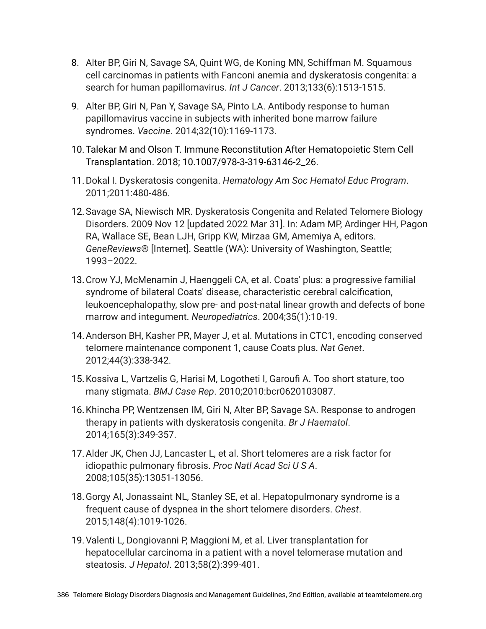- 8. Alter BP, Giri N, Savage SA, Quint WG, de Koning MN, Schiffman M. Squamous cell carcinomas in patients with Fanconi anemia and dyskeratosis congenita: a search for human papillomavirus. *Int J Cancer*. 2013;133(6):1513-1515.
- 9. Alter BP, Giri N, Pan Y, Savage SA, Pinto LA. Antibody response to human papillomavirus vaccine in subjects with inherited bone marrow failure syndromes. *Vaccine*. 2014;32(10):1169-1173.
- 10.Talekar M and Olson T. Immune Reconstitution After Hematopoietic Stem Cell Transplantation. 2018; 10.1007/978-3-319-63146-2\_26.
- 11.Dokal I. Dyskeratosis congenita. *Hematology Am Soc Hematol Educ Program*. 2011;2011:480-486.
- 12.Savage SA, Niewisch MR. Dyskeratosis Congenita and Related Telomere Biology Disorders. 2009 Nov 12 [updated 2022 Mar 31]. In: Adam MP, Ardinger HH, Pagon RA, Wallace SE, Bean LJH, Gripp KW, Mirzaa GM, Amemiya A, editors. *GeneReviews*® [Internet]. Seattle (WA): University of Washington, Seattle; 1993–2022.
- 13.Crow YJ, McMenamin J, Haenggeli CA, et al. Coats' plus: a progressive familial syndrome of bilateral Coats' disease, characteristic cerebral calcification, leukoencephalopathy, slow pre- and post-natal linear growth and defects of bone marrow and integument. *Neuropediatrics*. 2004;35(1):10-19.
- 14.Anderson BH, Kasher PR, Mayer J, et al. Mutations in CTC1, encoding conserved telomere maintenance component 1, cause Coats plus. *Nat Genet*. 2012;44(3):338-342.
- 15.Kossiva L, Vartzelis G, Harisi M, Logotheti I, Garoufi A. Too short stature, too many stigmata. *BMJ Case Rep*. 2010;2010:bcr0620103087.
- 16.Khincha PP, Wentzensen IM, Giri N, Alter BP, Savage SA. Response to androgen therapy in patients with dyskeratosis congenita. *Br J Haematol*. 2014;165(3):349-357.
- 17.Alder JK, Chen JJ, Lancaster L, et al. Short telomeres are a risk factor for idiopathic pulmonary fibrosis. *Proc Natl Acad Sci U S A*. 2008;105(35):13051-13056.
- 18.Gorgy AI, Jonassaint NL, Stanley SE, et al. Hepatopulmonary syndrome is a frequent cause of dyspnea in the short telomere disorders. *Chest*. 2015;148(4):1019-1026.
- 19.Valenti L, Dongiovanni P, Maggioni M, et al. Liver transplantation for hepatocellular carcinoma in a patient with a novel telomerase mutation and steatosis. *J Hepatol*. 2013;58(2):399-401.